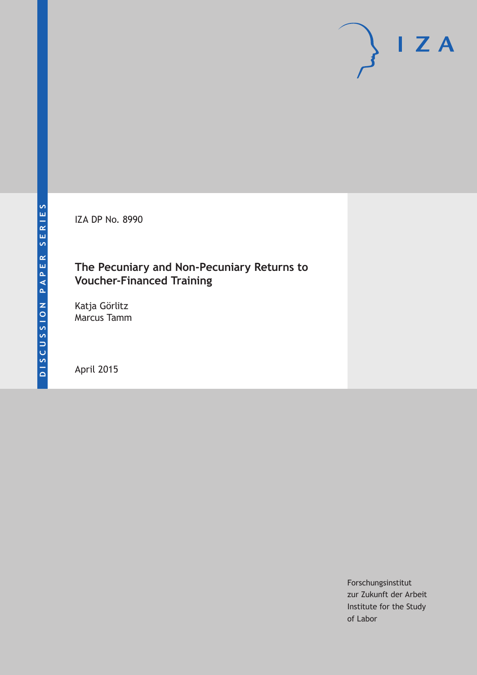IZA DP No. 8990

## **The Pecuniary and Non-Pecuniary Returns to Voucher-Financed Training**

Katja Görlitz Marcus Tamm

April 2015

Forschungsinstitut zur Zukunft der Arbeit Institute for the Study of Labor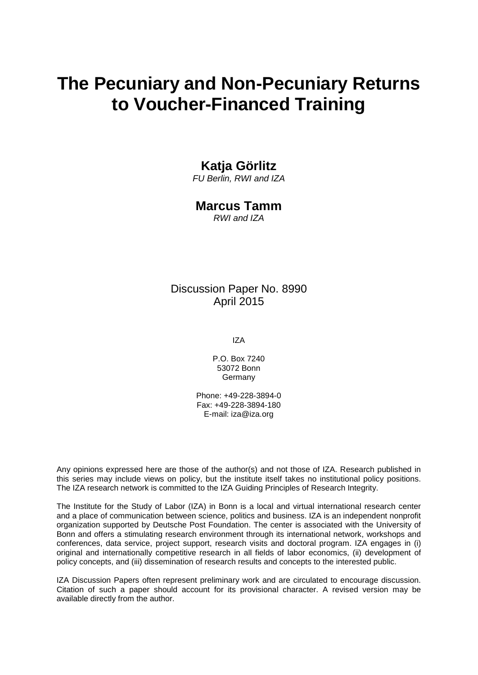# **The Pecuniary and Non-Pecuniary Returns to Voucher-Financed Training**

### **Katja Görlitz**

*FU Berlin, RWI and IZA*

### **Marcus Tamm**

*RWI and IZA*

### Discussion Paper No. 8990 April 2015

IZA

P.O. Box 7240 53072 Bonn Germany

Phone: +49-228-3894-0 Fax: +49-228-3894-180 E-mail: iza@iza.org

Any opinions expressed here are those of the author(s) and not those of IZA. Research published in this series may include views on policy, but the institute itself takes no institutional policy positions. The IZA research network is committed to the IZA Guiding Principles of Research Integrity.

The Institute for the Study of Labor (IZA) in Bonn is a local and virtual international research center and a place of communication between science, politics and business. IZA is an independent nonprofit organization supported by Deutsche Post Foundation. The center is associated with the University of Bonn and offers a stimulating research environment through its international network, workshops and conferences, data service, project support, research visits and doctoral program. IZA engages in (i) original and internationally competitive research in all fields of labor economics, (ii) development of policy concepts, and (iii) dissemination of research results and concepts to the interested public.

<span id="page-1-0"></span>IZA Discussion Papers often represent preliminary work and are circulated to encourage discussion. Citation of such a paper should account for its provisional character. A revised version may be available directly from the author.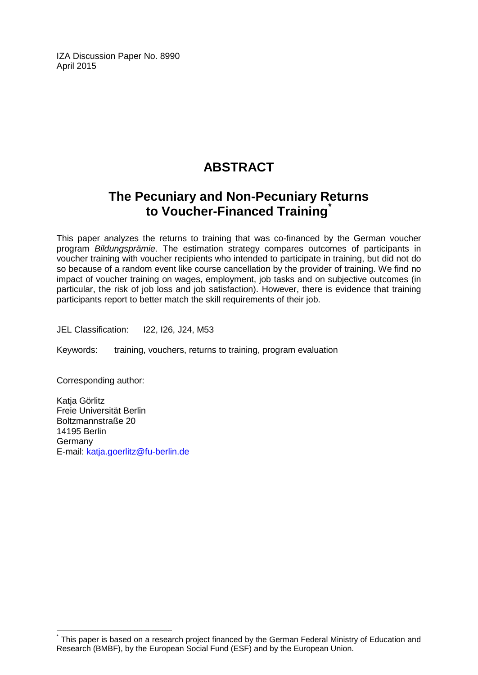IZA Discussion Paper No. 8990 April 2015

# **ABSTRACT**

# **The Pecuniary and Non-Pecuniary Returns to Voucher-Financed Training[\\*](#page-1-0)**

This paper analyzes the returns to training that was co-financed by the German voucher program *Bildungsprämie*. The estimation strategy compares outcomes of participants in voucher training with voucher recipients who intended to participate in training, but did not do so because of a random event like course cancellation by the provider of training. We find no impact of voucher training on wages, employment, job tasks and on subjective outcomes (in particular, the risk of job loss and job satisfaction). However, there is evidence that training participants report to better match the skill requirements of their job.

JEL Classification: I22, I26, J24, M53

Keywords: training, vouchers, returns to training, program evaluation

Corresponding author:

Katja Görlitz Freie Universität Berlin Boltzmannstraße 20 14195 Berlin Germany E-mail: [katja.goerlitz@fu-berlin.de](mailto:katja.goerlitz@fu-berlin.de)

This paper is based on a research project financed by the German Federal Ministry of Education and Research (BMBF), by the European Social Fund (ESF) and by the European Union.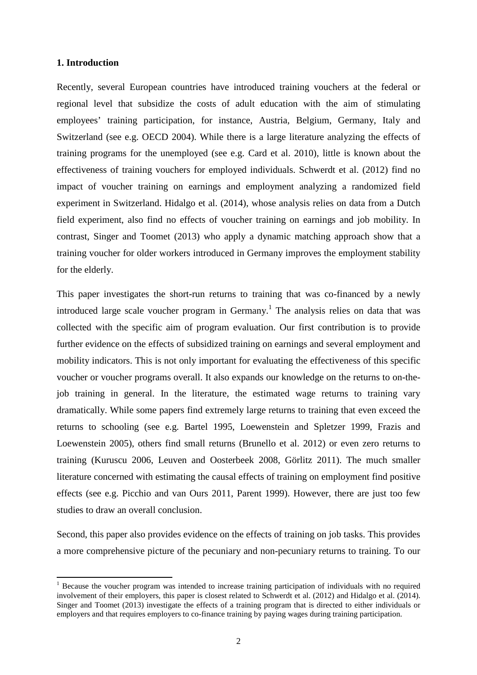#### **1. Introduction**

 $\overline{a}$ 

Recently, several European countries have introduced training vouchers at the federal or regional level that subsidize the costs of adult education with the aim of stimulating employees' training participation, for instance, Austria, Belgium, Germany, Italy and Switzerland (see e.g. OECD 2004). While there is a large literature analyzing the effects of training programs for the unemployed (see e.g. Card et al. 2010), little is known about the effectiveness of training vouchers for employed individuals. Schwerdt et al. (2012) find no impact of voucher training on earnings and employment analyzing a randomized field experiment in Switzerland. Hidalgo et al. (2014), whose analysis relies on data from a Dutch field experiment, also find no effects of voucher training on earnings and job mobility. In contrast, Singer and Toomet (2013) who apply a dynamic matching approach show that a training voucher for older workers introduced in Germany improves the employment stability for the elderly.

This paper investigates the short-run returns to training that was co-financed by a newly introduced large scale voucher program in Germany.<sup>1</sup> The analysis relies on data that was collected with the specific aim of program evaluation. Our first contribution is to provide further evidence on the effects of subsidized training on earnings and several employment and mobility indicators. This is not only important for evaluating the effectiveness of this specific voucher or voucher programs overall. It also expands our knowledge on the returns to on-thejob training in general. In the literature, the estimated wage returns to training vary dramatically. While some papers find extremely large returns to training that even exceed the returns to schooling (see e.g. Bartel 1995, Loewenstein and Spletzer 1999, Frazis and Loewenstein 2005), others find small returns (Brunello et al. 2012) or even zero returns to training (Kuruscu 2006, Leuven and Oosterbeek 2008, Görlitz 2011). The much smaller literature concerned with estimating the causal effects of training on employment find positive effects (see e.g. Picchio and van Ours 2011, Parent 1999). However, there are just too few studies to draw an overall conclusion.

Second, this paper also provides evidence on the effects of training on job tasks. This provides a more comprehensive picture of the pecuniary and non-pecuniary returns to training. To our

<sup>&</sup>lt;sup>1</sup> Because the voucher program was intended to increase training participation of individuals with no required involvement of their employers, this paper is closest related to Schwerdt et al. (2012) and Hidalgo et al. (2014). Singer and Toomet (2013) investigate the effects of a training program that is directed to either individuals or employers and that requires employers to co-finance training by paying wages during training participation.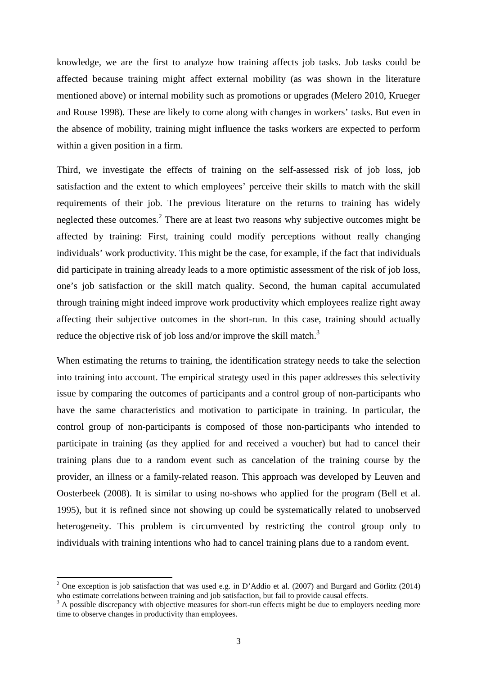knowledge, we are the first to analyze how training affects job tasks. Job tasks could be affected because training might affect external mobility (as was shown in the literature mentioned above) or internal mobility such as promotions or upgrades (Melero 2010, Krueger and Rouse 1998). These are likely to come along with changes in workers' tasks. But even in the absence of mobility, training might influence the tasks workers are expected to perform within a given position in a firm.

Third, we investigate the effects of training on the self-assessed risk of job loss, job satisfaction and the extent to which employees' perceive their skills to match with the skill requirements of their job. The previous literature on the returns to training has widely neglected these outcomes.<sup>2</sup> There are at least two reasons why subjective outcomes might be affected by training: First, training could modify perceptions without really changing individuals' work productivity. This might be the case, for example, if the fact that individuals did participate in training already leads to a more optimistic assessment of the risk of job loss, one's job satisfaction or the skill match quality. Second, the human capital accumulated through training might indeed improve work productivity which employees realize right away affecting their subjective outcomes in the short-run. In this case, training should actually reduce the objective risk of job loss and/or improve the skill match.<sup>3</sup>

When estimating the returns to training, the identification strategy needs to take the selection into training into account. The empirical strategy used in this paper addresses this selectivity issue by comparing the outcomes of participants and a control group of non-participants who have the same characteristics and motivation to participate in training. In particular, the control group of non-participants is composed of those non-participants who intended to participate in training (as they applied for and received a voucher) but had to cancel their training plans due to a random event such as cancelation of the training course by the provider, an illness or a family-related reason. This approach was developed by Leuven and Oosterbeek (2008). It is similar to using no-shows who applied for the program (Bell et al. 1995), but it is refined since not showing up could be systematically related to unobserved heterogeneity. This problem is circumvented by restricting the control group only to individuals with training intentions who had to cancel training plans due to a random event.

 $\overline{a}$ 

<sup>&</sup>lt;sup>2</sup> One exception is job satisfaction that was used e.g. in D'Addio et al. (2007) and Burgard and Görlitz (2014) who estimate correlations between training and job satisfaction, but fail to provide causal effects.

<sup>&</sup>lt;sup>3</sup> A possible discrepancy with objective measures for short-run effects might be due to employers needing more time to observe changes in productivity than employees.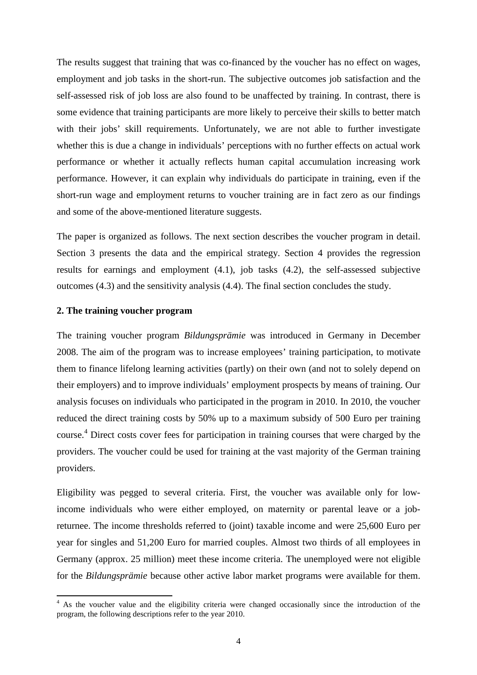The results suggest that training that was co-financed by the voucher has no effect on wages, employment and job tasks in the short-run. The subjective outcomes job satisfaction and the self-assessed risk of job loss are also found to be unaffected by training. In contrast, there is some evidence that training participants are more likely to perceive their skills to better match with their jobs' skill requirements. Unfortunately, we are not able to further investigate whether this is due a change in individuals' perceptions with no further effects on actual work performance or whether it actually reflects human capital accumulation increasing work performance. However, it can explain why individuals do participate in training, even if the short-run wage and employment returns to voucher training are in fact zero as our findings and some of the above-mentioned literature suggests.

The paper is organized as follows. The next section describes the voucher program in detail. Section 3 presents the data and the empirical strategy. Section 4 provides the regression results for earnings and employment (4.1), job tasks (4.2), the self-assessed subjective outcomes (4.3) and the sensitivity analysis (4.4). The final section concludes the study.

#### **2. The training voucher program**

l

The training voucher program *Bildungsprämie* was introduced in Germany in December 2008. The aim of the program was to increase employees' training participation, to motivate them to finance lifelong learning activities (partly) on their own (and not to solely depend on their employers) and to improve individuals' employment prospects by means of training. Our analysis focuses on individuals who participated in the program in 2010. In 2010, the voucher reduced the direct training costs by 50% up to a maximum subsidy of 500 Euro per training course. 4 Direct costs cover fees for participation in training courses that were charged by the providers. The voucher could be used for training at the vast majority of the German training providers.

Eligibility was pegged to several criteria. First, the voucher was available only for lowincome individuals who were either employed, on maternity or parental leave or a jobreturnee. The income thresholds referred to (joint) taxable income and were 25,600 Euro per year for singles and 51,200 Euro for married couples. Almost two thirds of all employees in Germany (approx. 25 million) meet these income criteria. The unemployed were not eligible for the *Bildungsprämie* because other active labor market programs were available for them.

<sup>&</sup>lt;sup>4</sup> As the voucher value and the eligibility criteria were changed occasionally since the introduction of the program, the following descriptions refer to the year 2010.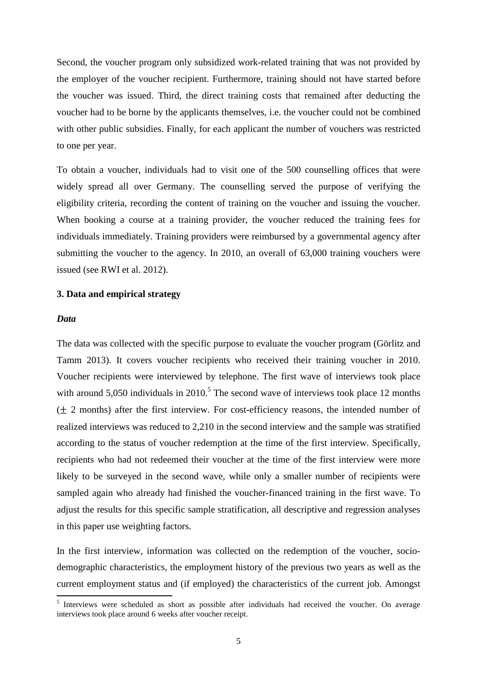Second, the voucher program only subsidized work-related training that was not provided by the employer of the voucher recipient. Furthermore, training should not have started before the voucher was issued. Third, the direct training costs that remained after deducting the voucher had to be borne by the applicants themselves, i.e. the voucher could not be combined with other public subsidies. Finally, for each applicant the number of vouchers was restricted to one per year.

To obtain a voucher, individuals had to visit one of the 500 counselling offices that were widely spread all over Germany. The counselling served the purpose of verifying the eligibility criteria, recording the content of training on the voucher and issuing the voucher. When booking a course at a training provider, the voucher reduced the training fees for individuals immediately. Training providers were reimbursed by a governmental agency after submitting the voucher to the agency. In 2010, an overall of 63,000 training vouchers were issued (see RWI et al. 2012).

#### **3. Data and empirical strategy**

#### *Data*

The data was collected with the specific purpose to evaluate the voucher program (Görlitz and Tamm 2013). It covers voucher recipients who received their training voucher in 2010. Voucher recipients were interviewed by telephone. The first wave of interviews took place with around  $5,050$  individuals in  $2010<sup>5</sup>$ . The second wave of interviews took place 12 months  $(\pm 2 \text{ months})$  after the first interview. For cost-efficiency reasons, the intended number of realized interviews was reduced to 2,210 in the second interview and the sample was stratified according to the status of voucher redemption at the time of the first interview. Specifically, recipients who had not redeemed their voucher at the time of the first interview were more likely to be surveyed in the second wave, while only a smaller number of recipients were sampled again who already had finished the voucher-financed training in the first wave. To adjust the results for this specific sample stratification, all descriptive and regression analyses in this paper use weighting factors.

In the first interview, information was collected on the redemption of the voucher, sociodemographic characteristics, the employment history of the previous two years as well as the current employment status and (if employed) the characteristics of the current job. Amongst l

<sup>&</sup>lt;sup>5</sup> Interviews were scheduled as short as possible after individuals had received the voucher. On average interviews took place around 6 weeks after voucher receipt.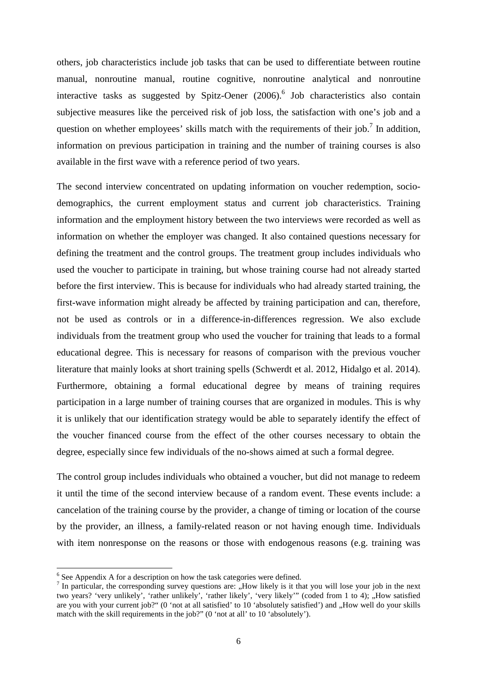others, job characteristics include job tasks that can be used to differentiate between routine manual, nonroutine manual, routine cognitive, nonroutine analytical and nonroutine interactive tasks as suggested by Spitz-Oener (2006).<sup>6</sup> Job characteristics also contain subjective measures like the perceived risk of job loss, the satisfaction with one's job and a question on whether employees' skills match with the requirements of their job.<sup>7</sup> In addition, information on previous participation in training and the number of training courses is also available in the first wave with a reference period of two years.

The second interview concentrated on updating information on voucher redemption, sociodemographics, the current employment status and current job characteristics. Training information and the employment history between the two interviews were recorded as well as information on whether the employer was changed. It also contained questions necessary for defining the treatment and the control groups. The treatment group includes individuals who used the voucher to participate in training, but whose training course had not already started before the first interview. This is because for individuals who had already started training, the first-wave information might already be affected by training participation and can, therefore, not be used as controls or in a difference-in-differences regression. We also exclude individuals from the treatment group who used the voucher for training that leads to a formal educational degree. This is necessary for reasons of comparison with the previous voucher literature that mainly looks at short training spells (Schwerdt et al. 2012, Hidalgo et al. 2014). Furthermore, obtaining a formal educational degree by means of training requires participation in a large number of training courses that are organized in modules. This is why it is unlikely that our identification strategy would be able to separately identify the effect of the voucher financed course from the effect of the other courses necessary to obtain the degree, especially since few individuals of the no-shows aimed at such a formal degree.

The control group includes individuals who obtained a voucher, but did not manage to redeem it until the time of the second interview because of a random event. These events include: a cancelation of the training course by the provider, a change of timing or location of the course by the provider, an illness, a family-related reason or not having enough time. Individuals with item nonresponse on the reasons or those with endogenous reasons (e.g. training was

l

<sup>&</sup>lt;sup>6</sup> See Appendix A for a description on how the task categories were defined.

 $<sup>7</sup>$  In particular, the corresponding survey questions are: "How likely is it that you will lose your job in the next</sup> two years? 'very unlikely', 'rather unlikely', 'rather likely', 'very likely'" (coded from 1 to 4); "How satisfied are you with your current job?" (0 'not at all satisfied' to 10 'absolutely satisfied') and "How well do your skills match with the skill requirements in the job?" (0 'not at all' to 10 'absolutely').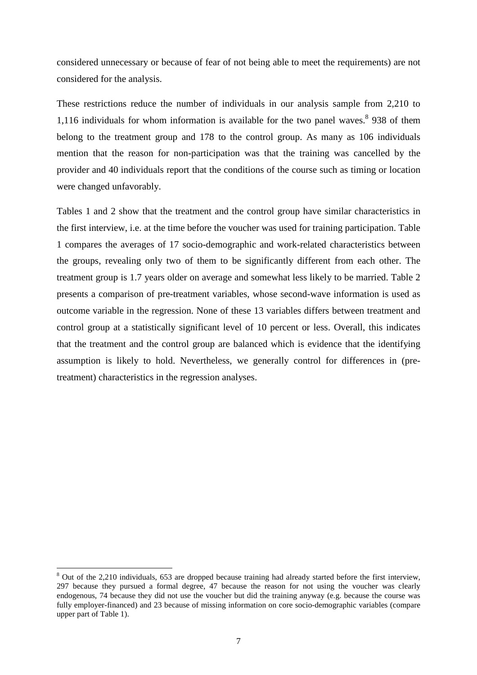considered unnecessary or because of fear of not being able to meet the requirements) are not considered for the analysis.

These restrictions reduce the number of individuals in our analysis sample from 2,210 to 1,116 individuals for whom information is available for the two panel waves. $8\,$  938 of them belong to the treatment group and 178 to the control group. As many as 106 individuals mention that the reason for non-participation was that the training was cancelled by the provider and 40 individuals report that the conditions of the course such as timing or location were changed unfavorably.

Tables 1 and 2 show that the treatment and the control group have similar characteristics in the first interview, i.e. at the time before the voucher was used for training participation. Table 1 compares the averages of 17 socio-demographic and work-related characteristics between the groups, revealing only two of them to be significantly different from each other. The treatment group is 1.7 years older on average and somewhat less likely to be married. Table 2 presents a comparison of pre-treatment variables, whose second-wave information is used as outcome variable in the regression. None of these 13 variables differs between treatment and control group at a statistically significant level of 10 percent or less. Overall, this indicates that the treatment and the control group are balanced which is evidence that the identifying assumption is likely to hold. Nevertheless, we generally control for differences in (pretreatment) characteristics in the regression analyses.

l

 $8$  Out of the 2,210 individuals, 653 are dropped because training had already started before the first interview, 297 because they pursued a formal degree, 47 because the reason for not using the voucher was clearly endogenous, 74 because they did not use the voucher but did the training anyway (e.g. because the course was fully employer-financed) and 23 because of missing information on core socio-demographic variables (compare upper part of Table 1).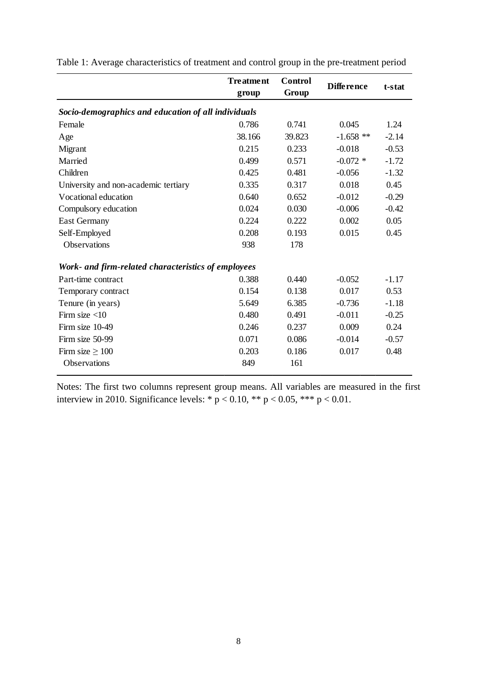|                                                     | <b>Treatment</b><br>group | <b>Control</b><br>Group | <b>Difference</b> | t-stat  |
|-----------------------------------------------------|---------------------------|-------------------------|-------------------|---------|
|                                                     |                           |                         |                   |         |
| Socio-demographics and education of all individuals |                           |                         |                   |         |
| Female                                              | 0.786                     | 0.741                   | 0.045             | 1.24    |
| Age                                                 | 38.166                    | 39.823                  | $-1.658$ **       | $-2.14$ |
| Migrant                                             | 0.215                     | 0.233                   | $-0.018$          | $-0.53$ |
| Married                                             | 0.499                     | 0.571                   | $-0.072$ *        | $-1.72$ |
| Children                                            | 0.425                     | 0.481                   | $-0.056$          | $-1.32$ |
| University and non-academic tertiary                | 0.335                     | 0.317                   | 0.018             | 0.45    |
| Vocational education                                | 0.640                     | 0.652                   | $-0.012$          | $-0.29$ |
| Compulsory education                                | 0.024                     | 0.030                   | $-0.006$          | $-0.42$ |
| <b>East Germany</b>                                 | 0.224                     | 0.222                   | 0.002             | 0.05    |
| Self-Employed                                       | 0.208                     | 0.193                   | 0.015             | 0.45    |
| <b>Observations</b>                                 | 938                       | 178                     |                   |         |
| Work- and firm-related characteristics of employees |                           |                         |                   |         |
| Part-time contract                                  | 0.388                     | 0.440                   | $-0.052$          | $-1.17$ |
| Temporary contract                                  | 0.154                     | 0.138                   | 0.017             | 0.53    |
| Tenure (in years)                                   | 5.649                     | 6.385                   | $-0.736$          | $-1.18$ |
| Firm size $<$ 10                                    | 0.480                     | 0.491                   | $-0.011$          | $-0.25$ |
| Firm size 10-49                                     | 0.246                     | 0.237                   | 0.009             | 0.24    |
| Firm size 50-99                                     | 0.071                     | 0.086                   | $-0.014$          | $-0.57$ |
| Firm size $\geq 100$                                | 0.203                     | 0.186                   | 0.017             | 0.48    |
| <b>Observations</b>                                 | 849                       | 161                     |                   |         |

Table 1: Average characteristics of treatment and control group in the pre-treatment period

Notes: The first two columns represent group means. All variables are measured in the first interview in 2010. Significance levels: \*  $p < 0.10$ , \*\*  $p < 0.05$ , \*\*\*  $p < 0.01$ .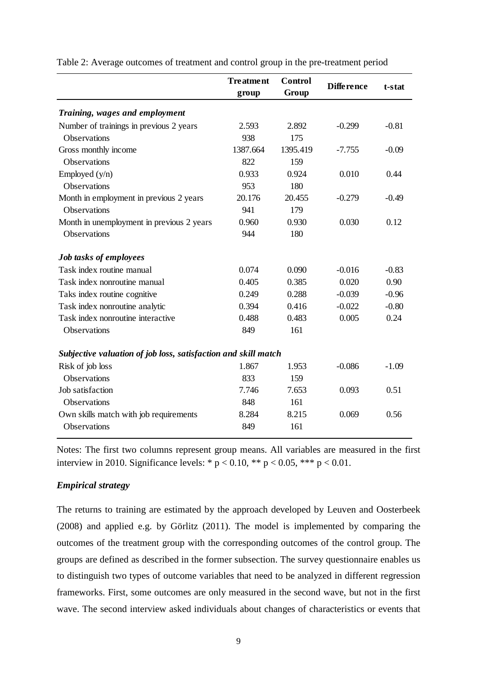|                                                                | <b>Treatment</b><br>group | <b>Control</b><br>Group | <b>Difference</b> | t-stat  |
|----------------------------------------------------------------|---------------------------|-------------------------|-------------------|---------|
| Training, wages and employment                                 |                           |                         |                   |         |
| Number of trainings in previous 2 years                        | 2.593                     | 2.892                   | $-0.299$          | $-0.81$ |
| <b>Observations</b>                                            | 938                       | 175                     |                   |         |
| Gross monthly income                                           | 1387.664                  | 1395.419                | $-7.755$          | $-0.09$ |
| <b>Observations</b>                                            | 822                       | 159                     |                   |         |
| Employed $(y/n)$                                               | 0.933                     | 0.924                   | 0.010             | 0.44    |
| Observations                                                   | 953                       | 180                     |                   |         |
| Month in employment in previous 2 years                        | 20.176                    | 20.455                  | $-0.279$          | $-0.49$ |
| <b>Observations</b>                                            | 941                       | 179                     |                   |         |
| Month in unemployment in previous 2 years                      | 0.960                     | 0.930                   | 0.030             | 0.12    |
| <b>Observations</b>                                            | 944                       | 180                     |                   |         |
| Job tasks of employees                                         |                           |                         |                   |         |
| Task index routine manual                                      | 0.074                     | 0.090                   | $-0.016$          | $-0.83$ |
| Task index nonroutine manual                                   | 0.405                     | 0.385                   | 0.020             | 0.90    |
| Taks index routine cognitive                                   | 0.249                     | 0.288                   | $-0.039$          | $-0.96$ |
| Task index nonroutine analytic                                 | 0.394                     | 0.416                   | $-0.022$          | $-0.80$ |
| Task index nonroutine interactive                              | 0.488                     | 0.483                   | 0.005             | 0.24    |
| Observations                                                   | 849                       | 161                     |                   |         |
| Subjective valuation of job loss, satisfaction and skill match |                           |                         |                   |         |
| Risk of job loss                                               | 1.867                     | 1.953                   | $-0.086$          | $-1.09$ |
| Observations                                                   | 833                       | 159                     |                   |         |
| Job satisfaction                                               | 7.746                     | 7.653                   | 0.093             | 0.51    |
| Observations                                                   | 848                       | 161                     |                   |         |
| Own skills match with job requirements                         | 8.284                     | 8.215                   | 0.069             | 0.56    |
| Observations                                                   | 849                       | 161                     |                   |         |

Table 2: Average outcomes of treatment and control group in the pre-treatment period

Notes: The first two columns represent group means. All variables are measured in the first interview in 2010. Significance levels: \*  $p < 0.10$ , \*\*  $p < 0.05$ , \*\*\*  $p < 0.01$ .

#### *Empirical strategy*

The returns to training are estimated by the approach developed by Leuven and Oosterbeek (2008) and applied e.g. by Görlitz (2011). The model is implemented by comparing the outcomes of the treatment group with the corresponding outcomes of the control group. The groups are defined as described in the former subsection. The survey questionnaire enables us to distinguish two types of outcome variables that need to be analyzed in different regression frameworks. First, some outcomes are only measured in the second wave, but not in the first wave. The second interview asked individuals about changes of characteristics or events that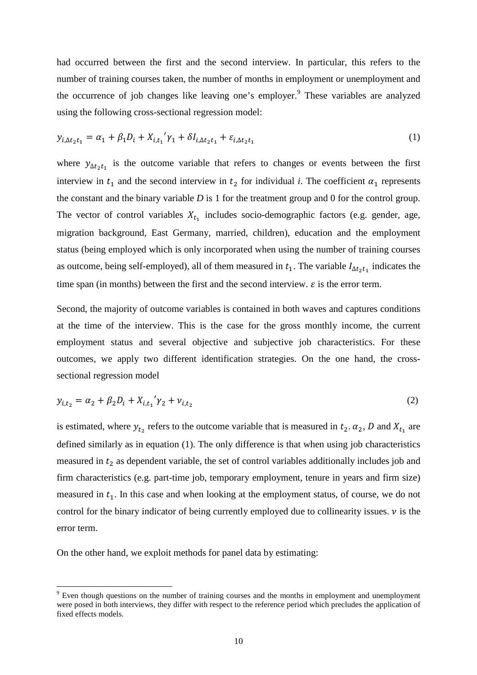had occurred between the first and the second interview. In particular, this refers to the number of training courses taken, the number of months in employment or unemployment and the occurrence of job changes like leaving one's employer.<sup>9</sup> These variables are analyzed using the following cross-sectional regression model:

$$
y_{i,\Delta t_2 t_1} = \alpha_1 + \beta_1 D_i + X_{i,t_1}' \gamma_1 + \delta I_{i,\Delta t_2 t_1} + \varepsilon_{i,\Delta t_2 t_1}
$$
 (1)

where  $y_{\Delta t_2 t_1}$  is the outcome variable that refers to changes or events between the first interview in  $t_1$  and the second interview in  $t_2$  for individual *i*. The coefficient  $\alpha_1$  represents the constant and the binary variable *D* is 1 for the treatment group and 0 for the control group. The vector of control variables  $X_{t_1}$  includes socio-demographic factors (e.g. gender, age, migration background, East Germany, married, children), education and the employment status (being employed which is only incorporated when using the number of training courses as outcome, being self-employed), all of them measured in  $t_1$ . The variable  $I_{\Delta t_2 t_1}$  indicates the time span (in months) between the first and the second interview.  $\varepsilon$  is the error term.

Second, the majority of outcome variables is contained in both waves and captures conditions at the time of the interview. This is the case for the gross monthly income, the current employment status and several objective and subjective job characteristics. For these outcomes, we apply two different identification strategies. On the one hand, the crosssectional regression model

$$
y_{i,t_2} = \alpha_2 + \beta_2 D_i + X_{i,t_1}' \gamma_2 + \nu_{i,t_2}
$$
 (2)

is estimated, where  $y_{t_2}$  refers to the outcome variable that is measured in  $t_2$ .  $\alpha_2$ , D and  $X_{t_1}$  are defined similarly as in equation (1). The only difference is that when using job characteristics measured in  $t<sub>2</sub>$  as dependent variable, the set of control variables additionally includes job and firm characteristics (e.g. part-time job, temporary employment, tenure in years and firm size) measured in  $t_1$ . In this case and when looking at the employment status, of course, we do not control for the binary indicator of being currently employed due to collinearity issues.  $\nu$  is the error term.

On the other hand, we exploit methods for panel data by estimating:

 $\overline{a}$ 

 $9$  Even though questions on the number of training courses and the months in employment and unemployment were posed in both interviews, they differ with respect to the reference period which precludes the application of fixed effects models.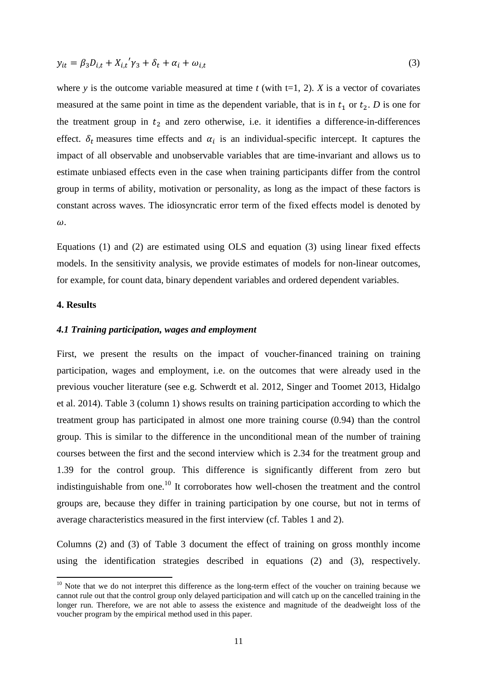$$
y_{it} = \beta_3 D_{i,t} + X_{i,t}' \gamma_3 + \delta_t + \alpha_i + \omega_{i,t}
$$
\n<sup>(3)</sup>

where *y* is the outcome variable measured at time *t* (with  $t=1, 2$ ). *X* is a vector of covariates measured at the same point in time as the dependent variable, that is in  $t_1$  or  $t_2$ . *D* is one for the treatment group in  $t_2$  and zero otherwise, i.e. it identifies a difference-in-differences effect.  $\delta_t$  measures time effects and  $\alpha_i$  is an individual-specific intercept. It captures the impact of all observable and unobservable variables that are time-invariant and allows us to estimate unbiased effects even in the case when training participants differ from the control group in terms of ability, motivation or personality, as long as the impact of these factors is constant across waves. The idiosyncratic error term of the fixed effects model is denoted by  $\omega$ .

Equations (1) and (2) are estimated using OLS and equation (3) using linear fixed effects models. In the sensitivity analysis, we provide estimates of models for non-linear outcomes, for example, for count data, binary dependent variables and ordered dependent variables.

#### **4. Results**

 $\overline{a}$ 

#### *4.1 Training participation, wages and employment*

First, we present the results on the impact of voucher-financed training on training participation, wages and employment, i.e. on the outcomes that were already used in the previous voucher literature (see e.g. Schwerdt et al. 2012, Singer and Toomet 2013, Hidalgo et al. 2014). Table 3 (column 1) shows results on training participation according to which the treatment group has participated in almost one more training course (0.94) than the control group. This is similar to the difference in the unconditional mean of the number of training courses between the first and the second interview which is 2.34 for the treatment group and 1.39 for the control group. This difference is significantly different from zero but indistinguishable from one.<sup>10</sup> It corroborates how well-chosen the treatment and the control groups are, because they differ in training participation by one course, but not in terms of average characteristics measured in the first interview (cf. Tables 1 and 2).

Columns (2) and (3) of Table 3 document the effect of training on gross monthly income using the identification strategies described in equations (2) and (3), respectively.

<sup>&</sup>lt;sup>10</sup> Note that we do not interpret this difference as the long-term effect of the voucher on training because we cannot rule out that the control group only delayed participation and will catch up on the cancelled training in the longer run. Therefore, we are not able to assess the existence and magnitude of the deadweight loss of the voucher program by the empirical method used in this paper.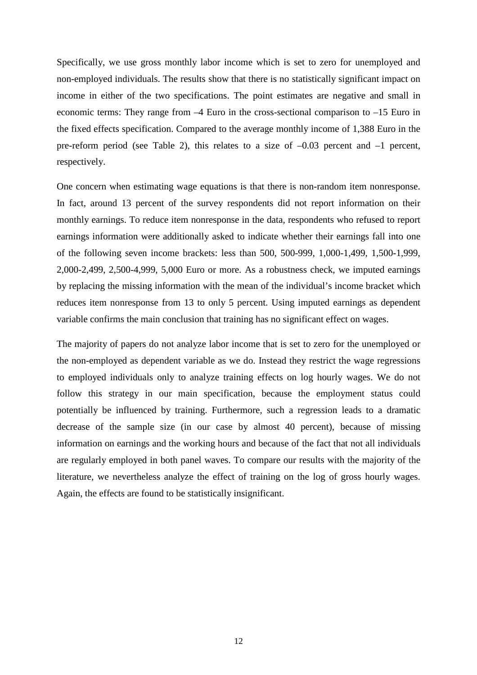Specifically, we use gross monthly labor income which is set to zero for unemployed and non-employed individuals. The results show that there is no statistically significant impact on income in either of the two specifications. The point estimates are negative and small in economic terms: They range from –4 Euro in the cross-sectional comparison to –15 Euro in the fixed effects specification. Compared to the average monthly income of 1,388 Euro in the pre-reform period (see Table 2), this relates to a size of  $-0.03$  percent and  $-1$  percent, respectively.

One concern when estimating wage equations is that there is non-random item nonresponse. In fact, around 13 percent of the survey respondents did not report information on their monthly earnings. To reduce item nonresponse in the data, respondents who refused to report earnings information were additionally asked to indicate whether their earnings fall into one of the following seven income brackets: less than 500, 500-999, 1,000-1,499, 1,500-1,999, 2,000-2,499, 2,500-4,999, 5,000 Euro or more. As a robustness check, we imputed earnings by replacing the missing information with the mean of the individual's income bracket which reduces item nonresponse from 13 to only 5 percent. Using imputed earnings as dependent variable confirms the main conclusion that training has no significant effect on wages.

The majority of papers do not analyze labor income that is set to zero for the unemployed or the non-employed as dependent variable as we do. Instead they restrict the wage regressions to employed individuals only to analyze training effects on log hourly wages. We do not follow this strategy in our main specification, because the employment status could potentially be influenced by training. Furthermore, such a regression leads to a dramatic decrease of the sample size (in our case by almost 40 percent), because of missing information on earnings and the working hours and because of the fact that not all individuals are regularly employed in both panel waves. To compare our results with the majority of the literature, we nevertheless analyze the effect of training on the log of gross hourly wages. Again, the effects are found to be statistically insignificant.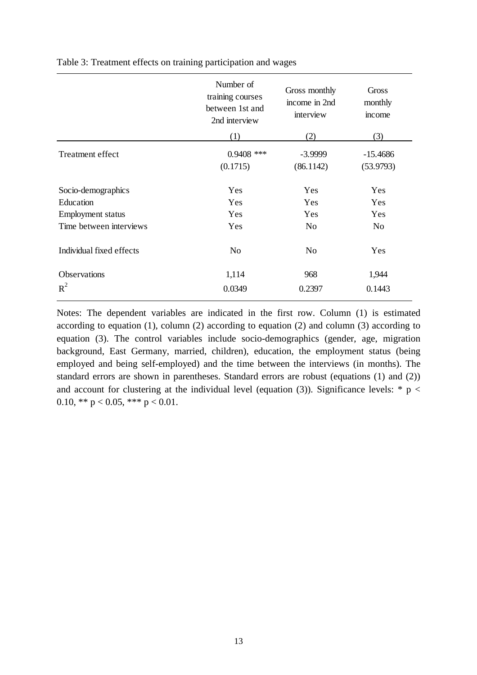|                          | Number of<br>training courses<br>between 1st and<br>2nd interview | Gross monthly<br>income in 2nd<br>interview | Gross<br>monthly<br>income |
|--------------------------|-------------------------------------------------------------------|---------------------------------------------|----------------------------|
|                          | (1)                                                               | (2)                                         | (3)                        |
| Treatment effect         | $0.9408$ ***                                                      | $-3.9999$                                   | $-15.4686$                 |
|                          | (0.1715)                                                          | (86.1142)                                   | (53.9793)                  |
| Socio-demographics       | <b>Yes</b>                                                        | <b>Yes</b>                                  | Yes                        |
| Education                | Yes                                                               | <b>Yes</b>                                  | Yes                        |
| Employment status        | Yes                                                               | Yes                                         | Yes                        |
| Time between interviews  | Yes                                                               | N <sub>o</sub>                              | N <sub>o</sub>             |
| Individual fixed effects | N <sub>o</sub>                                                    | N <sub>o</sub>                              | Yes                        |
| Observations             | 1,114                                                             | 968                                         | 1,944                      |
| $R^2$                    | 0.0349                                                            | 0.2397                                      | 0.1443                     |

Table 3: Treatment effects on training participation and wages

Notes: The dependent variables are indicated in the first row. Column (1) is estimated according to equation (1), column (2) according to equation (2) and column (3) according to equation (3). The control variables include socio-demographics (gender, age, migration background, East Germany, married, children), education, the employment status (being employed and being self-employed) and the time between the interviews (in months). The standard errors are shown in parentheses. Standard errors are robust (equations (1) and (2)) and account for clustering at the individual level (equation (3)). Significance levels: \*  $p <$ 0.10, \*\*  $p < 0.05$ , \*\*\*  $p < 0.01$ .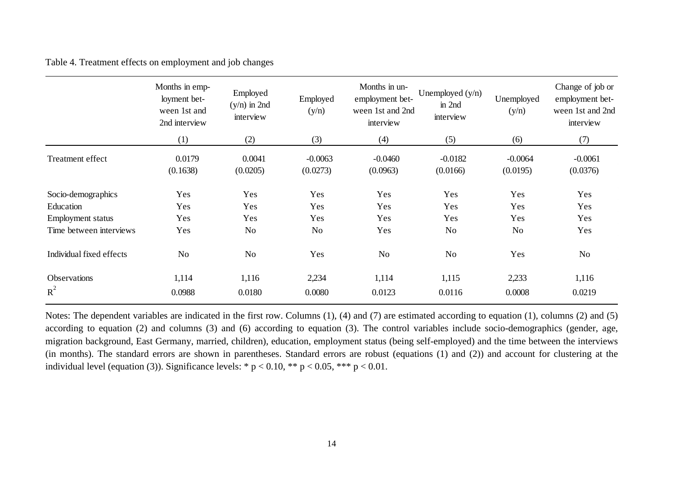Table 4. Treatment effects on employment and job changes

|                                 | Months in emp-<br>loyment bet-<br>ween 1st and<br>2nd interview | Employed<br>$(y/n)$ in 2nd<br>interview | Employed<br>(y/n)     | Months in un-<br>employment bet-<br>ween 1st and 2nd<br>interview | Unemployed $(y/n)$<br>$\sin 2nd$<br>interview | Unemployed<br>(y/n)   | Change of job or<br>employment bet-<br>ween 1st and 2nd<br>interview |
|---------------------------------|-----------------------------------------------------------------|-----------------------------------------|-----------------------|-------------------------------------------------------------------|-----------------------------------------------|-----------------------|----------------------------------------------------------------------|
|                                 | (1)                                                             | (2)                                     | (3)                   | (4)                                                               | (5)                                           | (6)                   | (7)                                                                  |
| Treatment effect                | 0.0179<br>(0.1638)                                              | 0.0041<br>(0.0205)                      | $-0.0063$<br>(0.0273) | $-0.0460$<br>(0.0963)                                             | $-0.0182$<br>(0.0166)                         | $-0.0064$<br>(0.0195) | $-0.0061$<br>(0.0376)                                                |
| Socio-demographics<br>Education | Yes<br>Yes                                                      | Yes<br>Yes                              | Yes<br>Yes            | Yes<br>Yes                                                        | Yes<br>Yes                                    | Yes<br>Yes            | Yes<br>Yes                                                           |
| Employment status               | Yes                                                             | Yes                                     | Yes                   | Yes                                                               | Yes                                           | Yes                   | Yes                                                                  |
| Time between interviews         | Yes                                                             | N <sub>o</sub>                          | N <sub>o</sub>        | Yes                                                               | No                                            | N <sub>o</sub>        | Yes                                                                  |
| Individual fixed effects        | N <sub>o</sub>                                                  | N <sub>o</sub>                          | Yes                   | N <sub>o</sub>                                                    | N <sub>o</sub>                                | Yes                   | N <sub>o</sub>                                                       |
| Observations<br>$R^2$           | 1,114<br>0.0988                                                 | 1,116<br>0.0180                         | 2,234<br>0.0080       | 1,114<br>0.0123                                                   | 1,115<br>0.0116                               | 2,233<br>0.0008       | 1,116<br>0.0219                                                      |

Notes: The dependent variables are indicated in the first row. Columns (1), (4) and (7) are estimated according to equation (1), columns (2) and (5) according to equation (2) and columns (3) and (6) according to equation (3). The control variables include socio-demographics (gender, age, migration background, East Germany, married, children), education, employment status (being self-employed) and the time between the interviews (in months). The standard errors are shown in parentheses. Standard errors are robust (equations (1) and (2)) and account for clustering at the individual level (equation (3)). Significance levels: \*  $p < 0.10$ , \*\*  $p < 0.05$ , \*\*\*  $p < 0.01$ .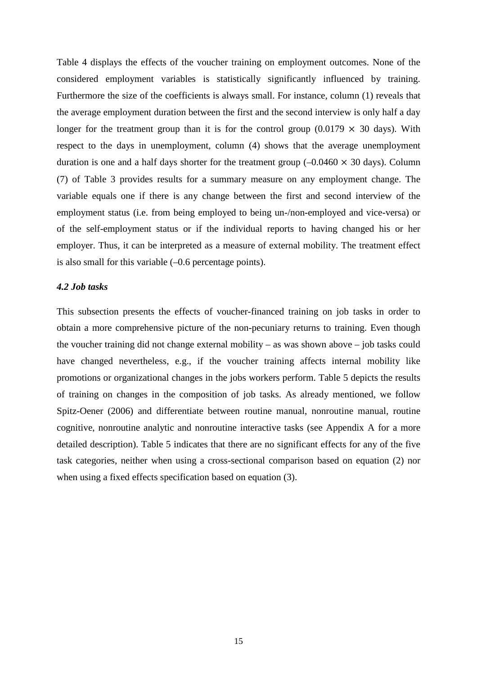Table 4 displays the effects of the voucher training on employment outcomes. None of the considered employment variables is statistically significantly influenced by training. Furthermore the size of the coefficients is always small. For instance, column (1) reveals that the average employment duration between the first and the second interview is only half a day longer for the treatment group than it is for the control group (0.0179  $\times$  30 days). With respect to the days in unemployment, column (4) shows that the average unemployment duration is one and a half days shorter for the treatment group  $(-0.0460 \times 30 \text{ days})$ . Column (7) of Table 3 provides results for a summary measure on any employment change. The variable equals one if there is any change between the first and second interview of the employment status (i.e. from being employed to being un-/non-employed and vice-versa) or of the self-employment status or if the individual reports to having changed his or her employer. Thus, it can be interpreted as a measure of external mobility. The treatment effect is also small for this variable (–0.6 percentage points).

#### *4.2 Job tasks*

This subsection presents the effects of voucher-financed training on job tasks in order to obtain a more comprehensive picture of the non-pecuniary returns to training. Even though the voucher training did not change external mobility – as was shown above – job tasks could have changed nevertheless, e.g., if the voucher training affects internal mobility like promotions or organizational changes in the jobs workers perform. Table 5 depicts the results of training on changes in the composition of job tasks. As already mentioned, we follow Spitz-Oener (2006) and differentiate between routine manual, nonroutine manual, routine cognitive, nonroutine analytic and nonroutine interactive tasks (see Appendix A for a more detailed description). Table 5 indicates that there are no significant effects for any of the five task categories, neither when using a cross-sectional comparison based on equation (2) nor when using a fixed effects specification based on equation (3).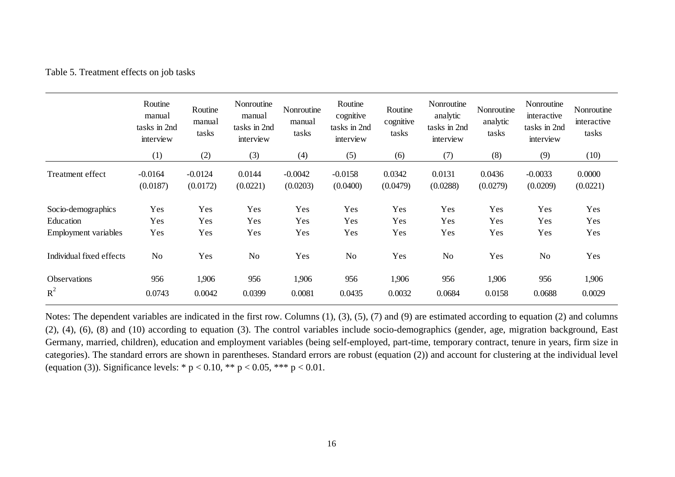#### Table 5. Treatment effects on job tasks

|                          | Routine<br>manual<br>tasks in 2nd<br>interview | Routine<br>manual<br>tasks | Nonroutine<br>manual<br>tasks in 2nd<br>interview | Nonroutine<br>manual<br>tasks | Routine<br>cognitive<br>tasks in 2nd<br>interview | Routine<br>cognitive<br>tasks | Nonroutine<br>analytic<br>tasks in 2nd<br>interview | Nonroutine<br>analytic<br>tasks | Nonroutine<br>interactive<br>tasks in 2nd<br>interview | Nonroutine<br>interactive<br>tasks |
|--------------------------|------------------------------------------------|----------------------------|---------------------------------------------------|-------------------------------|---------------------------------------------------|-------------------------------|-----------------------------------------------------|---------------------------------|--------------------------------------------------------|------------------------------------|
|                          | (1)                                            | (2)                        | (3)                                               | (4)                           | (5)                                               | (6)                           | (7)                                                 | (8)                             | (9)                                                    | (10)                               |
| Treatment effect         | $-0.0164$<br>(0.0187)                          | $-0.0124$<br>(0.0172)      | 0.0144<br>(0.0221)                                | $-0.0042$<br>(0.0203)         | $-0.0158$<br>(0.0400)                             | 0.0342<br>(0.0479)            | 0.0131<br>(0.0288)                                  | 0.0436<br>(0.0279)              | $-0.0033$<br>(0.0209)                                  | 0.0000<br>(0.0221)                 |
| Socio-demographics       | Yes                                            | Yes                        | Yes                                               | Yes                           | Yes                                               | Yes                           | Yes                                                 | Yes                             | Yes                                                    | Yes                                |
| Education                | Yes                                            | Yes                        | Yes                                               | Yes                           | Yes                                               | Yes                           | Yes                                                 | Yes                             | Yes                                                    | Yes                                |
| Employment variables     | Yes                                            | Yes                        | Yes                                               | Yes                           | Yes                                               | Yes                           | Yes                                                 | Yes                             | Yes                                                    | Yes                                |
| Individual fixed effects | N <sub>o</sub>                                 | Yes                        | No                                                | Yes                           | N <sub>o</sub>                                    | Yes                           | N <sub>o</sub>                                      | Yes                             | No                                                     | Yes                                |
| Observations             | 956                                            | 1,906                      | 956                                               | 1,906                         | 956                                               | 1,906                         | 956                                                 | 1,906                           | 956                                                    | 1,906                              |
| $R^2$                    | 0.0743                                         | 0.0042                     | 0.0399                                            | 0.0081                        | 0.0435                                            | 0.0032                        | 0.0684                                              | 0.0158                          | 0.0688                                                 | 0.0029                             |

Notes: The dependent variables are indicated in the first row. Columns (1), (3), (5), (7) and (9) are estimated according to equation (2) and columns (2), (4), (6), (8) and (10) according to equation (3). The control variables include socio-demographics (gender, age, migration background, East Germany, married, children), education and employment variables (being self-employed, part-time, temporary contract, tenure in years, firm size in categories). The standard errors are shown in parentheses. Standard errors are robust (equation (2)) and account for clustering at the individual level (equation (3)). Significance levels: \*  $p < 0.10$ , \*\*  $p < 0.05$ , \*\*\*  $p < 0.01$ .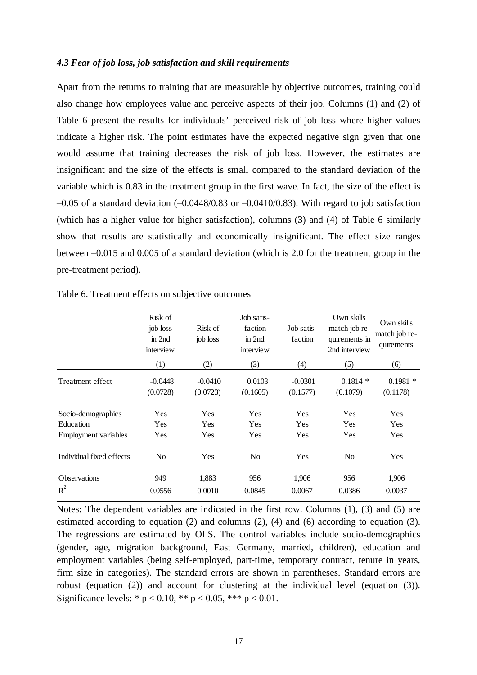#### *4.3 Fear of job loss, job satisfaction and skill requirements*

Apart from the returns to training that are measurable by objective outcomes, training could also change how employees value and perceive aspects of their job. Columns (1) and (2) of Table 6 present the results for individuals' perceived risk of job loss where higher values indicate a higher risk. The point estimates have the expected negative sign given that one would assume that training decreases the risk of job loss. However, the estimates are insignificant and the size of the effects is small compared to the standard deviation of the variable which is 0.83 in the treatment group in the first wave. In fact, the size of the effect is  $-0.05$  of a standard deviation  $(-0.0448/0.83$  or  $-0.0410/0.83)$ . With regard to job satisfaction (which has a higher value for higher satisfaction), columns (3) and (4) of Table 6 similarly show that results are statistically and economically insignificant. The effect size ranges between –0.015 and 0.005 of a standard deviation (which is 2.0 for the treatment group in the pre-treatment period).

|                          | Risk of<br>job loss<br>$\text{in } 2$ nd<br>interview | Risk of<br>job loss   | Job satis-<br>faction<br>$\text{in } 2$ nd<br>interview | Job satis-<br>faction | Own skills<br>match job re-<br>quirements in<br>2nd interview | Own skills<br>match job re-<br>quirements |
|--------------------------|-------------------------------------------------------|-----------------------|---------------------------------------------------------|-----------------------|---------------------------------------------------------------|-------------------------------------------|
|                          | (1)                                                   | (2)                   | (3)                                                     | (4)                   | (5)                                                           | (6)                                       |
| Treatment effect         | $-0.0448$<br>(0.0728)                                 | $-0.0410$<br>(0.0723) | 0.0103<br>(0.1605)                                      | $-0.0301$<br>(0.1577) | $0.1814*$<br>(0.1079)                                         | $0.1981*$<br>(0.1178)                     |
| Socio-demographics       | Yes                                                   | Yes                   | Yes                                                     | Yes                   | Yes                                                           | Yes                                       |
| Education                | Yes                                                   | Yes                   | Yes                                                     | Yes                   | Yes                                                           | Yes                                       |
| Employment variables     | Yes                                                   | Yes                   | Yes                                                     | Yes                   | Yes                                                           | Yes                                       |
| Individual fixed effects | No                                                    | Yes                   | N <sub>0</sub>                                          | Yes                   | No                                                            | Yes                                       |
| <b>Observations</b>      | 949                                                   | 1,883                 | 956                                                     | 1,906                 | 956                                                           | 1,906                                     |
| $R^2$                    | 0.0556                                                | 0.0010                | 0.0845                                                  | 0.0067                | 0.0386                                                        | 0.0037                                    |

| Table 6. Treatment effects on subjective outcomes |  |  |  |
|---------------------------------------------------|--|--|--|
|---------------------------------------------------|--|--|--|

Notes: The dependent variables are indicated in the first row. Columns (1), (3) and (5) are estimated according to equation (2) and columns (2), (4) and (6) according to equation (3). The regressions are estimated by OLS. The control variables include socio-demographics (gender, age, migration background, East Germany, married, children), education and employment variables (being self-employed, part-time, temporary contract, tenure in years, firm size in categories). The standard errors are shown in parentheses. Standard errors are robust (equation (2)) and account for clustering at the individual level (equation (3)). Significance levels: \*  $p < 0.10$ , \*\*  $p < 0.05$ , \*\*\*  $p < 0.01$ .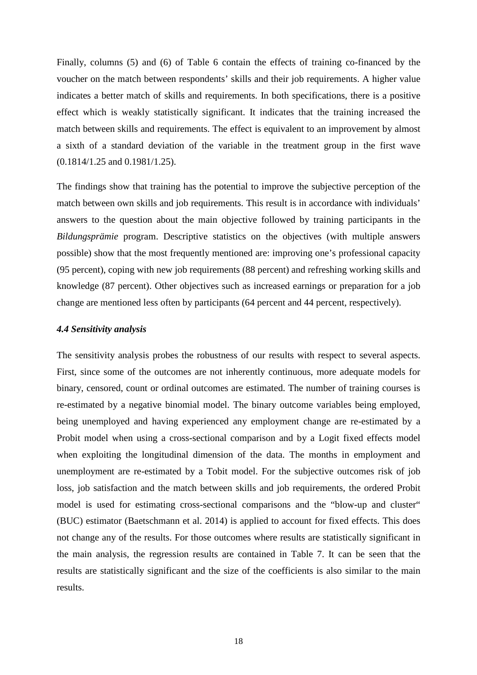Finally, columns (5) and (6) of Table 6 contain the effects of training co-financed by the voucher on the match between respondents' skills and their job requirements. A higher value indicates a better match of skills and requirements. In both specifications, there is a positive effect which is weakly statistically significant. It indicates that the training increased the match between skills and requirements. The effect is equivalent to an improvement by almost a sixth of a standard deviation of the variable in the treatment group in the first wave (0.1814/1.25 and 0.1981/1.25).

The findings show that training has the potential to improve the subjective perception of the match between own skills and job requirements. This result is in accordance with individuals' answers to the question about the main objective followed by training participants in the *Bildungsprämie* program. Descriptive statistics on the objectives (with multiple answers possible) show that the most frequently mentioned are: improving one's professional capacity (95 percent), coping with new job requirements (88 percent) and refreshing working skills and knowledge (87 percent). Other objectives such as increased earnings or preparation for a job change are mentioned less often by participants (64 percent and 44 percent, respectively).

#### *4.4 Sensitivity analysis*

The sensitivity analysis probes the robustness of our results with respect to several aspects. First, since some of the outcomes are not inherently continuous, more adequate models for binary, censored, count or ordinal outcomes are estimated. The number of training courses is re-estimated by a negative binomial model. The binary outcome variables being employed, being unemployed and having experienced any employment change are re-estimated by a Probit model when using a cross-sectional comparison and by a Logit fixed effects model when exploiting the longitudinal dimension of the data. The months in employment and unemployment are re-estimated by a Tobit model. For the subjective outcomes risk of job loss, job satisfaction and the match between skills and job requirements, the ordered Probit model is used for estimating cross-sectional comparisons and the "blow-up and cluster" (BUC) estimator (Baetschmann et al. 2014) is applied to account for fixed effects. This does not change any of the results. For those outcomes where results are statistically significant in the main analysis, the regression results are contained in Table 7. It can be seen that the results are statistically significant and the size of the coefficients is also similar to the main results.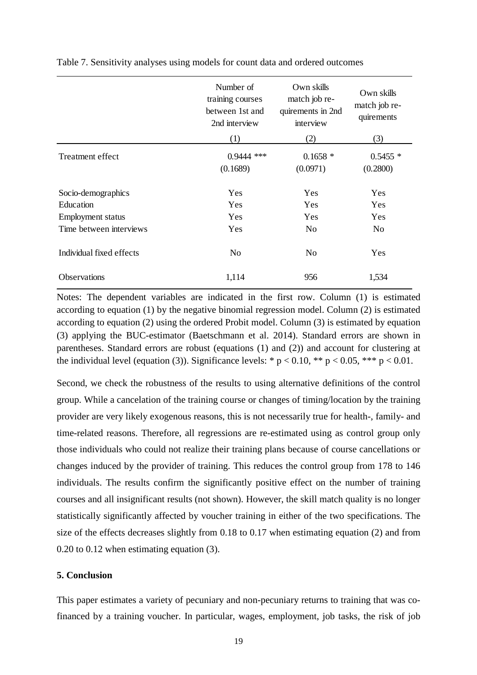|                          | Number of<br>training courses<br>between 1st and<br>2nd interview | Own skills<br>match job re-<br>quirements in 2nd<br>interview | Own skills<br>match job re-<br>quirements |
|--------------------------|-------------------------------------------------------------------|---------------------------------------------------------------|-------------------------------------------|
|                          | (1)                                                               | (2)                                                           | (3)                                       |
| Treatment effect         | $0.9444$ ***<br>(0.1689)                                          | $0.1658*$<br>(0.0971)                                         | $0.5455*$<br>(0.2800)                     |
| Socio-demographics       | <b>Yes</b>                                                        | <b>Yes</b>                                                    | Yes                                       |
| Education                | Yes                                                               | <b>Yes</b>                                                    | Yes                                       |
| <b>Employment</b> status | Yes                                                               | <b>Yes</b>                                                    | Yes                                       |
| Time between interviews  | Yes                                                               | N <sub>0</sub>                                                | N <sub>0</sub>                            |
| Individual fixed effects | No                                                                | N <sub>0</sub>                                                | Yes                                       |
| Observations             | 1,114                                                             | 956                                                           | 1,534                                     |

Table 7. Sensitivity analyses using models for count data and ordered outcomes

Notes: The dependent variables are indicated in the first row. Column (1) is estimated according to equation (1) by the negative binomial regression model. Column (2) is estimated according to equation (2) using the ordered Probit model. Column (3) is estimated by equation (3) applying the BUC-estimator (Baetschmann et al. 2014). Standard errors are shown in parentheses. Standard errors are robust (equations (1) and (2)) and account for clustering at the individual level (equation (3)). Significance levels: \*  $p < 0.10$ , \*\*  $p < 0.05$ , \*\*\*  $p < 0.01$ .

Second, we check the robustness of the results to using alternative definitions of the control group. While a cancelation of the training course or changes of timing/location by the training provider are very likely exogenous reasons, this is not necessarily true for health-, family- and time-related reasons. Therefore, all regressions are re-estimated using as control group only those individuals who could not realize their training plans because of course cancellations or changes induced by the provider of training. This reduces the control group from 178 to 146 individuals. The results confirm the significantly positive effect on the number of training courses and all insignificant results (not shown). However, the skill match quality is no longer statistically significantly affected by voucher training in either of the two specifications. The size of the effects decreases slightly from 0.18 to 0.17 when estimating equation (2) and from 0.20 to 0.12 when estimating equation (3).

#### **5. Conclusion**

This paper estimates a variety of pecuniary and non-pecuniary returns to training that was cofinanced by a training voucher. In particular, wages, employment, job tasks, the risk of job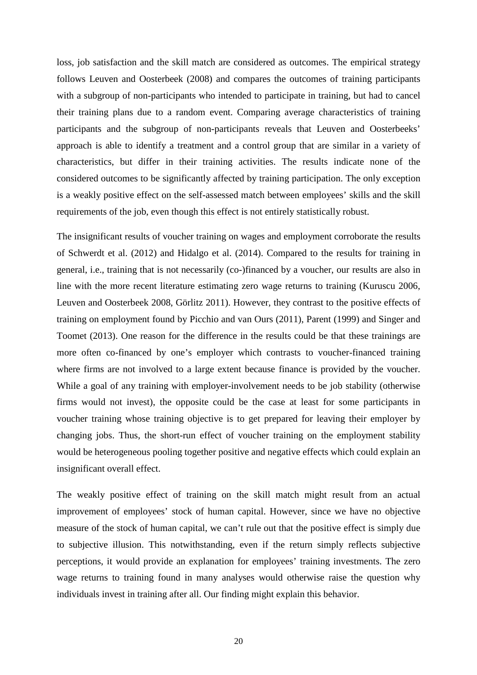loss, job satisfaction and the skill match are considered as outcomes. The empirical strategy follows Leuven and Oosterbeek (2008) and compares the outcomes of training participants with a subgroup of non-participants who intended to participate in training, but had to cancel their training plans due to a random event. Comparing average characteristics of training participants and the subgroup of non-participants reveals that Leuven and Oosterbeeks' approach is able to identify a treatment and a control group that are similar in a variety of characteristics, but differ in their training activities. The results indicate none of the considered outcomes to be significantly affected by training participation. The only exception is a weakly positive effect on the self-assessed match between employees' skills and the skill requirements of the job, even though this effect is not entirely statistically robust.

The insignificant results of voucher training on wages and employment corroborate the results of Schwerdt et al. (2012) and Hidalgo et al. (2014). Compared to the results for training in general, i.e., training that is not necessarily (co-)financed by a voucher, our results are also in line with the more recent literature estimating zero wage returns to training (Kuruscu 2006, Leuven and Oosterbeek 2008, Görlitz 2011). However, they contrast to the positive effects of training on employment found by Picchio and van Ours (2011), Parent (1999) and Singer and Toomet (2013). One reason for the difference in the results could be that these trainings are more often co-financed by one's employer which contrasts to voucher-financed training where firms are not involved to a large extent because finance is provided by the voucher. While a goal of any training with employer-involvement needs to be job stability (otherwise firms would not invest), the opposite could be the case at least for some participants in voucher training whose training objective is to get prepared for leaving their employer by changing jobs. Thus, the short-run effect of voucher training on the employment stability would be heterogeneous pooling together positive and negative effects which could explain an insignificant overall effect.

The weakly positive effect of training on the skill match might result from an actual improvement of employees' stock of human capital. However, since we have no objective measure of the stock of human capital, we can't rule out that the positive effect is simply due to subjective illusion. This notwithstanding, even if the return simply reflects subjective perceptions, it would provide an explanation for employees' training investments. The zero wage returns to training found in many analyses would otherwise raise the question why individuals invest in training after all. Our finding might explain this behavior.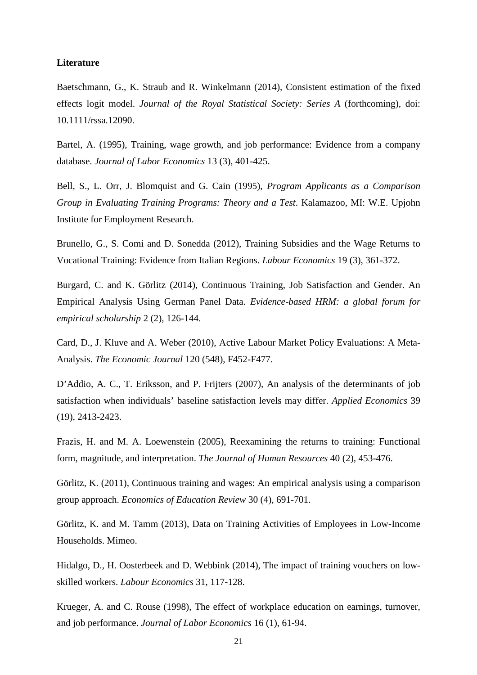#### **Literature**

Baetschmann, G., K. Straub and R. Winkelmann (2014), Consistent estimation of the fixed effects logit model. *Journal of the Royal Statistical Society: Series A* (forthcoming), doi: 10.1111/rssa.12090.

Bartel, A. (1995), Training, wage growth, and job performance: Evidence from a company database. *Journal of Labor Economics* 13 (3), 401-425.

Bell, S., L. Orr, J. Blomquist and G. Cain (1995), *Program Applicants as a Comparison Group in Evaluating Training Programs: Theory and a Test*. Kalamazoo, MI: W.E. Upjohn Institute for Employment Research.

Brunello, G., S. Comi and D. Sonedda (2012), Training Subsidies and the Wage Returns to Vocational Training: Evidence from Italian Regions. *Labour Economics* 19 (3), 361-372.

Burgard, C. and K. Görlitz (2014), Continuous Training, Job Satisfaction and Gender. An Empirical Analysis Using German Panel Data. *Evidence-based HRM: a global forum for empirical scholarship* 2 (2), 126-144.

Card, D., J. Kluve and A. Weber (2010), Active Labour Market Policy Evaluations: A Meta-Analysis. *The Economic Journal* 120 (548), F452-F477.

D'Addio, A. C., T. Eriksson, and P. Frijters (2007), An analysis of the determinants of job satisfaction when individuals' baseline satisfaction levels may differ. *Applied Economics* 39 (19), 2413-2423.

Frazis, H. and M. A. Loewenstein (2005), Reexamining the returns to training: Functional form, magnitude, and interpretation. *The Journal of Human Resources* 40 (2), 453-476.

Görlitz, K. (2011), Continuous training and wages: An empirical analysis using a comparison group approach. *Economics of Education Review* 30 (4), 691-701.

Görlitz, K. and M. Tamm (2013), Data on Training Activities of Employees in Low-Income Households. Mimeo.

Hidalgo, D., H. Oosterbeek and D. Webbink (2014), The impact of training vouchers on lowskilled workers. *Labour Economics* 31, 117-128.

Krueger, A. and C. Rouse (1998), The effect of workplace education on earnings, turnover, and job performance. *Journal of Labor Economics* 16 (1), 61-94.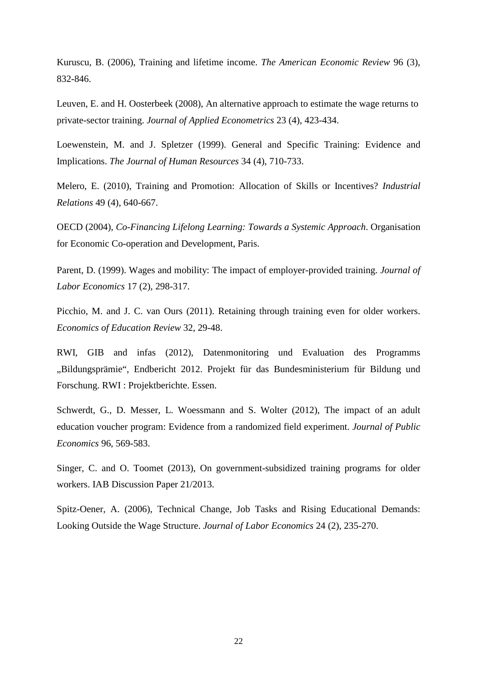Kuruscu, B. (2006), Training and lifetime income. *The American Economic Review* 96 (3), 832-846.

Leuven, E. and H. Oosterbeek (2008), An alternative approach to estimate the wage returns to private-sector training. *Journal of Applied Econometrics* 23 (4), 423-434.

Loewenstein, M. and J. Spletzer (1999). General and Specific Training: Evidence and Implications. *The Journal of Human Resources* 34 (4), 710-733.

Melero, E. (2010), Training and Promotion: Allocation of Skills or Incentives? *Industrial Relations* 49 (4), 640-667.

OECD (2004), *Co-Financing Lifelong Learning: Towards a Systemic Approach*. Organisation for Economic Co-operation and Development, Paris.

Parent, D. (1999). Wages and mobility: The impact of employer-provided training. *Journal of Labor Economics* 17 (2), 298-317.

Picchio, M. and J. C. van Ours (2011). Retaining through training even for older workers. *Economics of Education Review* 32, 29-48.

RWI, GIB and infas (2012), Datenmonitoring und Evaluation des Programms "Bildungsprämie", Endbericht 2012. Projekt für das Bundesministerium für Bildung und Forschung. RWI : Projektberichte. Essen.

Schwerdt, G., D. Messer, L. Woessmann and S. Wolter (2012), The impact of an adult education voucher program: Evidence from a randomized field experiment. *Journal of Public Economics* 96, 569-583.

Singer, C. and O. Toomet (2013), On government-subsidized training programs for older workers. IAB Discussion Paper 21/2013.

Spitz-Oener, A. (2006), Technical Change, Job Tasks and Rising Educational Demands: Looking Outside the Wage Structure. *Journal of Labor Economics* 24 (2), 235-270.